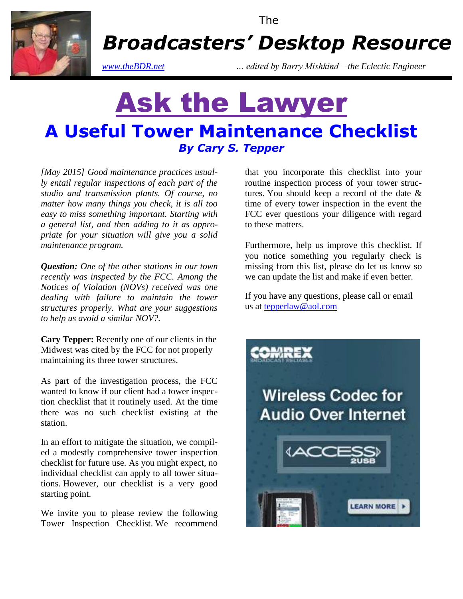

The

*Broadcasters' Desktop Resource*

*www.theBDR.net … edited by Barry Mishkind – the Eclectic Engineer*

# Ask the Lawyer **A Useful Tower Maintenance Checklist** *By Cary S. Tepper*

*[May 2015] Good maintenance practices usually entail regular inspections of each part of the studio and transmission plants. Of course, no matter how many things you check, it is all too easy to miss something important. Starting with a general list, and then adding to it as appropriate for your situation will give you a solid maintenance program.* 

*Question: One of the other stations in our town recently was inspected by the FCC. Among the Notices of Violation (NOVs) received was one dealing with failure to maintain the tower structures properly. What are your suggestions to help us avoid a similar NOV?.* 

**Cary Tepper:** Recently one of our clients in the Midwest was cited by the FCC for not properly maintaining its three tower structures.

As part of the investigation process, the FCC wanted to know if our client had a tower inspection checklist that it routinely used. At the time there was no such checklist existing at the station.

In an effort to mitigate the situation, we compiled a modestly comprehensive tower inspection checklist for future use. As you might expect, no individual checklist can apply to all tower situations. However, our checklist is a very good starting point.

We invite you to please review the following Tower Inspection Checklist. We recommend that you incorporate this checklist into your routine inspection process of your tower structures. You should keep a record of the date & time of every tower inspection in the event the FCC ever questions your diligence with regard to these matters.

Furthermore, help us improve this checklist. If you notice something you regularly check is missing from this list, please do let us know so we can update the list and make if even better.

If you have any questions, please call or email us at [tepperlaw@aol.com](mailto:tepperlaw@aol.com)

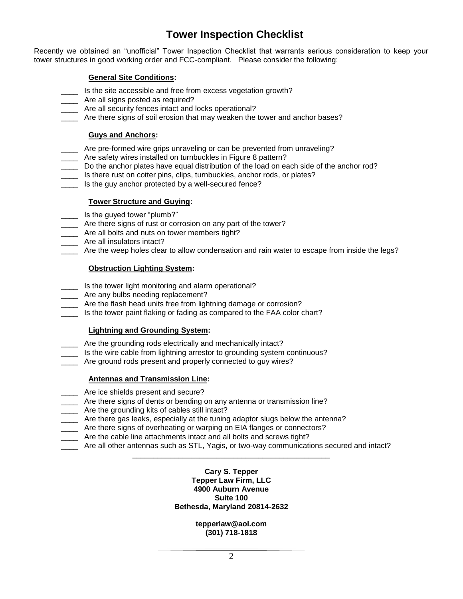## **Tower Inspection Checklist**

Recently we obtained an "unofficial" Tower Inspection Checklist that warrants serious consideration to keep your tower structures in good working order and FCC-compliant. Please consider the following:

#### **General Site Conditions:**

- \_\_\_\_ Is the site accessible and free from excess vegetation growth?
- \_\_\_\_ Are all signs posted as required?
- \_\_\_\_ Are all security fences intact and locks operational?
- Are there signs of soil erosion that may weaken the tower and anchor bases?

#### **Guys and Anchors:**

- \_\_\_\_ Are pre-formed wire grips unraveling or can be prevented from unraveling?
- \_\_\_\_ Are safety wires installed on turnbuckles in Figure 8 pattern?
- \_\_\_\_ Do the anchor plates have equal distribution of the load on each side of the anchor rod?
- \_\_\_\_ Is there rust on cotter pins, clips, turnbuckles, anchor rods, or plates?
- \_\_\_\_ Is the guy anchor protected by a well-secured fence?

#### **Tower Structure and Guying:**

- \_ ls the guyed tower "plumb?"
- \_\_\_\_ Are there signs of rust or corrosion on any part of the tower?
- \_\_\_\_ Are all bolts and nuts on tower members tight?
- \_\_\_\_ Are all insulators intact?
- Are the weep holes clear to allow condensation and rain water to escape from inside the legs?

#### **Obstruction Lighting System:**

- \_\_\_\_ Is the tower light monitoring and alarm operational?
- \_\_\_\_ Are any bulbs needing replacement?
- \_\_\_\_ Are the flash head units free from lightning damage or corrosion?
- Is the tower paint flaking or fading as compared to the FAA color chart?

#### **Lightning and Grounding System:**

- \_\_\_\_ Are the grounding rods electrically and mechanically intact?
- Is the wire cable from lightning arrestor to grounding system continuous?
- \_\_\_\_ Are ground rods present and properly connected to guy wires?

#### **Antennas and Transmission Line:**

- \_\_\_\_ Are ice shields present and secure?
- \_\_\_\_ Are there signs of dents or bending on any antenna or transmission line?
- \_\_\_\_ Are the grounding kits of cables still intact?
- \_\_\_\_ Are there gas leaks, especially at the tuning adaptor slugs below the antenna?
- \_\_\_\_ Are there signs of overheating or warping on EIA flanges or connectors?
- \_\_\_\_ Are the cable line attachments intact and all bolts and screws tight?
- \_\_\_\_ Are all other antennas such as STL, Yagis, or two-way communications secured and intact?

### \_\_\_\_\_\_\_\_\_\_\_\_\_\_\_\_\_\_\_\_\_\_\_\_\_\_\_\_\_\_\_\_\_\_\_\_\_\_\_\_\_\_\_\_\_\_\_ **Cary S. Tepper Tepper Law Firm, LLC 4900 Auburn Avenue**

### **Suite 100 Bethesda, Maryland 20814-2632**

#### **tepperlaw@aol.com (301) 718-1818**